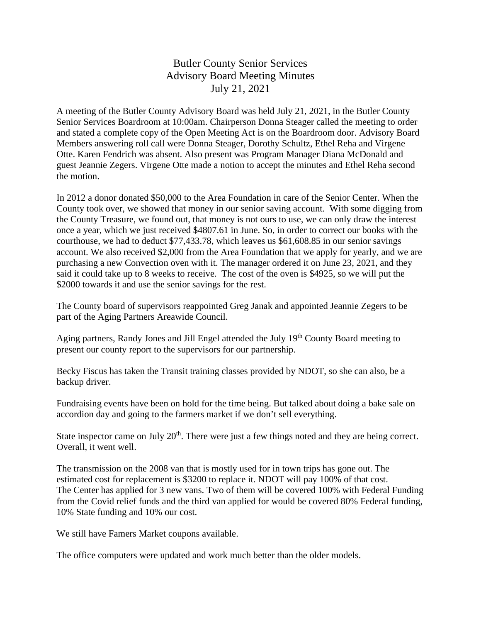## Butler County Senior Services Advisory Board Meeting Minutes July 21, 2021

A meeting of the Butler County Advisory Board was held July 21, 2021, in the Butler County Senior Services Boardroom at 10:00am. Chairperson Donna Steager called the meeting to order and stated a complete copy of the Open Meeting Act is on the Boardroom door. Advisory Board Members answering roll call were Donna Steager, Dorothy Schultz, Ethel Reha and Virgene Otte. Karen Fendrich was absent. Also present was Program Manager Diana McDonald and guest Jeannie Zegers. Virgene Otte made a notion to accept the minutes and Ethel Reha second the motion.

In 2012 a donor donated \$50,000 to the Area Foundation in care of the Senior Center. When the County took over, we showed that money in our senior saving account. With some digging from the County Treasure, we found out, that money is not ours to use, we can only draw the interest once a year, which we just received \$4807.61 in June. So, in order to correct our books with the courthouse, we had to deduct \$77,433.78, which leaves us \$61,608.85 in our senior savings account. We also received \$2,000 from the Area Foundation that we apply for yearly, and we are purchasing a new Convection oven with it. The manager ordered it on June 23, 2021, and they said it could take up to 8 weeks to receive. The cost of the oven is \$4925, so we will put the \$2000 towards it and use the senior savings for the rest.

The County board of supervisors reappointed Greg Janak and appointed Jeannie Zegers to be part of the Aging Partners Areawide Council.

Aging partners, Randy Jones and Jill Engel attended the July 19<sup>th</sup> County Board meeting to present our county report to the supervisors for our partnership.

Becky Fiscus has taken the Transit training classes provided by NDOT, so she can also, be a backup driver.

Fundraising events have been on hold for the time being. But talked about doing a bake sale on accordion day and going to the farmers market if we don't sell everything.

State inspector came on July  $20<sup>th</sup>$ . There were just a few things noted and they are being correct. Overall, it went well.

The transmission on the 2008 van that is mostly used for in town trips has gone out. The estimated cost for replacement is \$3200 to replace it. NDOT will pay 100% of that cost. The Center has applied for 3 new vans. Two of them will be covered 100% with Federal Funding from the Covid relief funds and the third van applied for would be covered 80% Federal funding, 10% State funding and 10% our cost.

We still have Famers Market coupons available.

The office computers were updated and work much better than the older models.